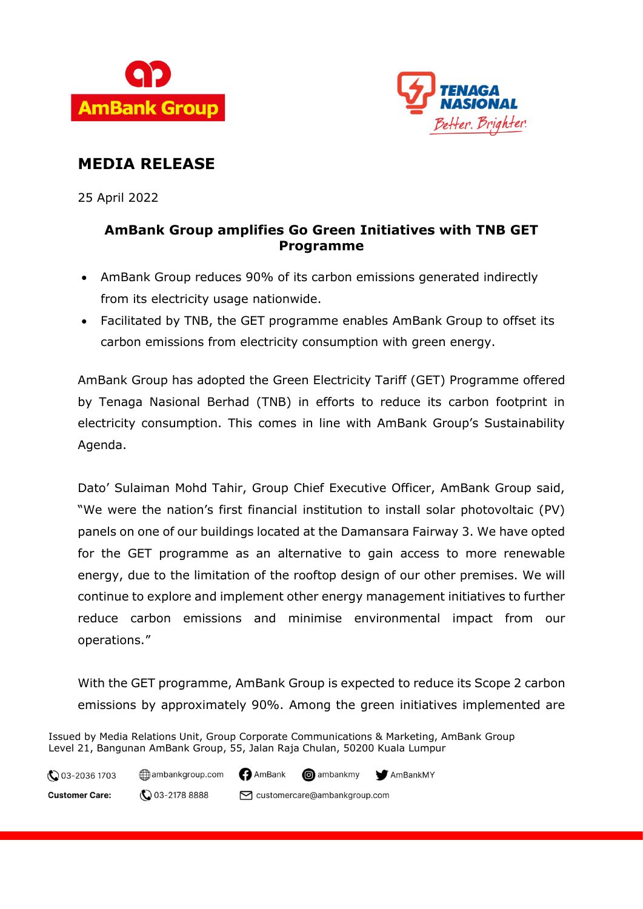



## **MEDIA RELEASE**

25 April 2022

### **AmBank Group amplifies Go Green Initiatives with TNB GET Programme**

- AmBank Group reduces 90% of its carbon emissions generated indirectly from its electricity usage nationwide.
- Facilitated by TNB, the GET programme enables AmBank Group to offset its carbon emissions from electricity consumption with green energy.

AmBank Group has adopted the Green Electricity Tariff (GET) Programme offered by Tenaga Nasional Berhad (TNB) in efforts to reduce its carbon footprint in electricity consumption. This comes in line with AmBank Group's Sustainability Agenda.

Dato' Sulaiman Mohd Tahir, Group Chief Executive Officer, AmBank Group said, "We were the nation's first financial institution to install solar photovoltaic (PV) panels on one of our buildings located at the Damansara Fairway 3. We have opted for the GET programme as an alternative to gain access to more renewable energy, due to the limitation of the rooftop design of our other premises. We will continue to explore and implement other energy management initiatives to further reduce carbon emissions and minimise environmental impact from our operations."

With the GET programme, AmBank Group is expected to reduce its Scope 2 carbon emissions by approximately 90%. Among the green initiatives implemented are

Issued by Media Relations Unit, Group Corporate Communications & Marketing, AmBank Group Level 21, Bangunan AmBank Group, 55, Jalan Raja Chulan, 50200 Kuala Lumpur

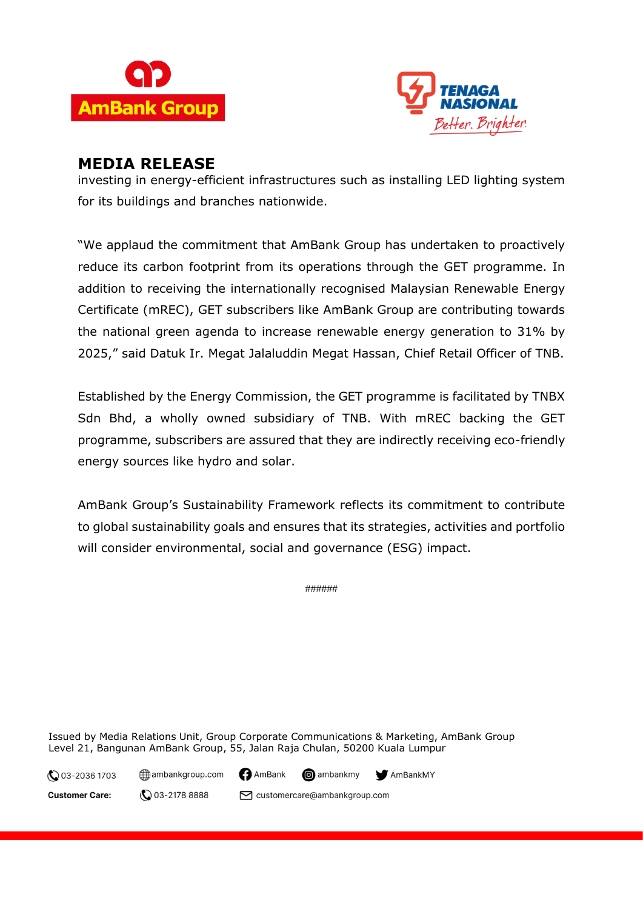



### **MEDIA RELEASE**

investing in energy-efficient infrastructures such as installing LED lighting system for its buildings and branches nationwide.

"We applaud the commitment that AmBank Group has undertaken to proactively reduce its carbon footprint from its operations through the GET programme. In addition to receiving the internationally recognised Malaysian Renewable Energy Certificate (mREC), GET subscribers like AmBank Group are contributing towards the national green agenda to increase renewable energy generation to 31% by 2025," said Datuk Ir. Megat Jalaluddin Megat Hassan, Chief Retail Officer of TNB.

Established by the Energy Commission, the GET programme is facilitated by TNBX Sdn Bhd, a wholly owned subsidiary of TNB. With mREC backing the GET programme, subscribers are assured that they are indirectly receiving eco-friendly energy sources like hydro and solar.

AmBank Group's Sustainability Framework reflects its commitment to contribute to global sustainability goals and ensures that its strategies, activities and portfolio will consider environmental, social and governance (ESG) impact.

######

Issued by Media Relations Unit, Group Corporate Communications & Marketing, AmBank Group Level 21, Bangunan AmBank Group, 55, Jalan Raja Chulan, 50200 Kuala Lumpur